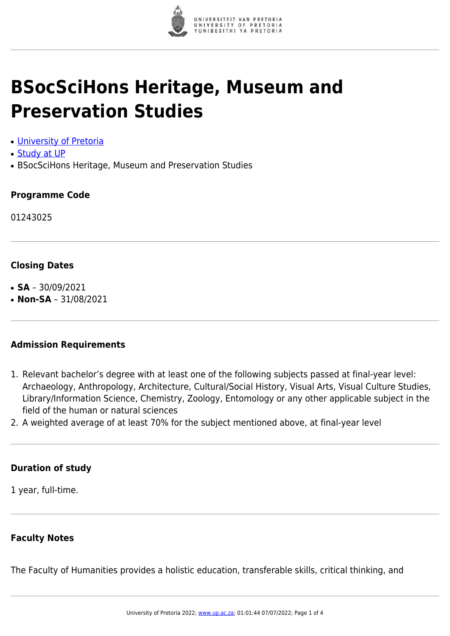

# **BSocSciHons Heritage, Museum and Preservation Studies**

- [University of Pretoria](https://www.up.ac.za/home)
- [Study at UP](https://www.up.ac.za/programmes)
- BSocSciHons Heritage, Museum and Preservation Studies

## **Programme Code**

01243025

#### **Closing Dates**

- $\cdot$  **SA** 30/09/2021
- **Non-SA** 31/08/2021

## **Admission Requirements**

- 1. Relevant bachelor's degree with at least one of the following subjects passed at final-year level: Archaeology, Anthropology, Architecture, Cultural/Social History, Visual Arts, Visual Culture Studies, Library/Information Science, Chemistry, Zoology, Entomology or any other applicable subject in the field of the human or natural sciences
- 2. A weighted average of at least 70% for the subject mentioned above, at final-year level

#### **Duration of study**

1 year, full-time.

#### **Faculty Notes**

The Faculty of Humanities provides a holistic education, transferable skills, critical thinking, and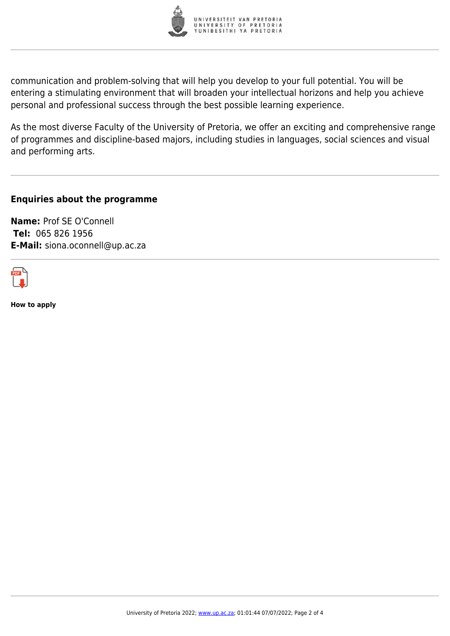

communication and problem-solving that will help you develop to your full potential. You will be entering a stimulating environment that will broaden your intellectual horizons and help you achieve personal and professional success through the best possible learning experience.

As the most diverse Faculty of the University of Pretoria, we offer an exciting and comprehensive range of programmes and discipline-based majors, including studies in languages, social sciences and visual and performing arts.

#### **Enquiries about the programme**

**Name:** Prof SE O'Connell **Tel:** 065 826 1956 **E-Mail:** siona.oconnell@up.ac.za



**How to apply**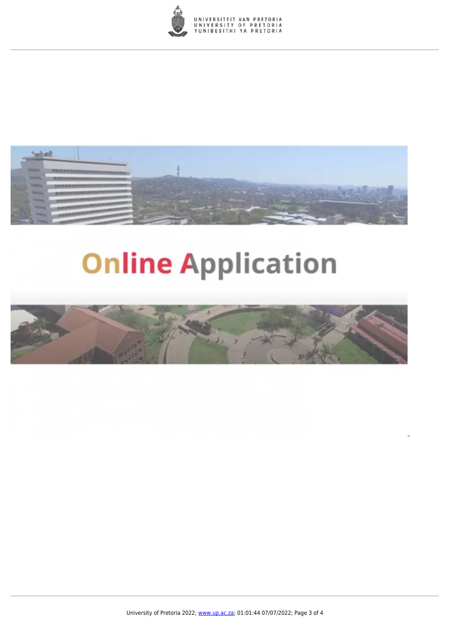



# **Online Application**